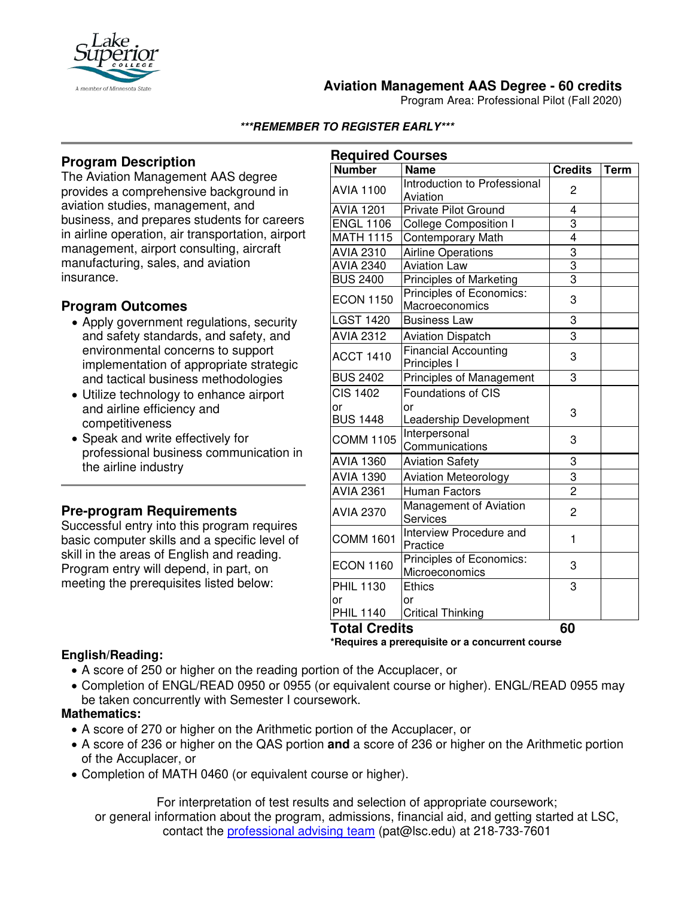

# **Aviation Management AAS Degree - 60 credits**

Program Area: Professional Pilot (Fall 2020)

#### **\*\*\*REMEMBER TO REGISTER EARLY\*\*\***

# **Program Description**

The Aviation Management AAS degree provides a comprehensive background in aviation studies, management, and business, and prepares students for careers in airline operation, air transportation, airport management, airport consulting, aircraft manufacturing, sales, and aviation insurance.

## **Program Outcomes**

- Apply government regulations, security and safety standards, and safety, and environmental concerns to support implementation of appropriate strategic and tactical business methodologies
- Utilize technology to enhance airport and airline efficiency and competitiveness
- Speak and write effectively for professional business communication in the airline industry

## **Pre-program Requirements**

Successful entry into this program requires basic computer skills and a specific level of skill in the areas of English and reading. Program entry will depend, in part, on meeting the prerequisites listed below:

| <b>Required Courses</b> |                                |                |             |
|-------------------------|--------------------------------|----------------|-------------|
| <b>Number</b>           | <b>Name</b>                    | <b>Credits</b> | <b>Term</b> |
| <b>AVIA 1100</b>        | Introduction to Professional   | 2              |             |
|                         | Aviation                       |                |             |
| <b>AVIA 1201</b>        | Private Pilot Ground           | 4              |             |
| <b>ENGL 1106</b>        | <b>College Composition I</b>   | 3              |             |
| <b>MATH 1115</b>        | <b>Contemporary Math</b>       | $\overline{4}$ |             |
| <b>AVIA 2310</b>        | <b>Airline Operations</b>      | $\overline{3}$ |             |
| <b>AVIA 2340</b>        | <b>Aviation Law</b>            | $\overline{3}$ |             |
| <b>BUS 2400</b>         | <b>Principles of Marketing</b> | $\frac{1}{3}$  |             |
| <b>ECON 1150</b>        | Principles of Economics:       | 3              |             |
|                         | Macroeconomics                 |                |             |
| <b>LGST 1420</b>        | <b>Business Law</b>            | 3              |             |
| <b>AVIA 2312</b>        | <b>Aviation Dispatch</b>       | 3              |             |
| <b>ACCT 1410</b>        | <b>Financial Accounting</b>    | 3              |             |
|                         | Principles I                   |                |             |
| <b>BUS 2402</b>         | Principles of Management       | 3              |             |
| <b>CIS 1402</b>         | <b>Foundations of CIS</b>      |                |             |
| or                      | or                             | 3              |             |
| <b>BUS 1448</b>         | Leadership Development         |                |             |
| <b>COMM 1105</b>        | Interpersonal                  | 3              |             |
|                         | Communications                 |                |             |
| <b>AVIA 1360</b>        | <b>Aviation Safety</b>         | 3              |             |
| <b>AVIA 1390</b>        | <b>Aviation Meteorology</b>    | 3              |             |
| <b>AVIA 2361</b>        | <b>Human Factors</b>           | $\overline{2}$ |             |
| <b>AVIA 2370</b>        | Management of Aviation         | 2              |             |
|                         | <b>Services</b>                |                |             |
| <b>COMM 1601</b>        | Interview Procedure and        | 1              |             |
|                         | Practice                       |                |             |
| <b>ECON 1160</b>        | Principles of Economics:       | 3              |             |
|                         | Microeconomics                 |                |             |
| <b>PHIL 1130</b>        | <b>Ethics</b>                  | 3              |             |
| or                      | or                             |                |             |
| <b>PHIL 1140</b>        | <b>Critical Thinking</b>       |                |             |
| <b>Total Credits</b>    |                                | 60             |             |

#### **\*Requires a prerequisite or a concurrent course**

#### **English/Reading:**

- A score of 250 or higher on the reading portion of the Accuplacer, or
- Completion of ENGL/READ 0950 or 0955 (or equivalent course or higher). ENGL/READ 0955 may be taken concurrently with Semester I coursework.

## **Mathematics:**

- A score of 270 or higher on the Arithmetic portion of the Accuplacer, or
- A score of 236 or higher on the QAS portion **and** a score of 236 or higher on the Arithmetic portion of the Accuplacer, or
- Completion of MATH 0460 (or equivalent course or higher).

For interpretation of test results and selection of appropriate coursework; or general information about the program, admissions, financial aid, and getting started at LSC, contact the professional advising team (pat@lsc.edu) at 218-733-7601